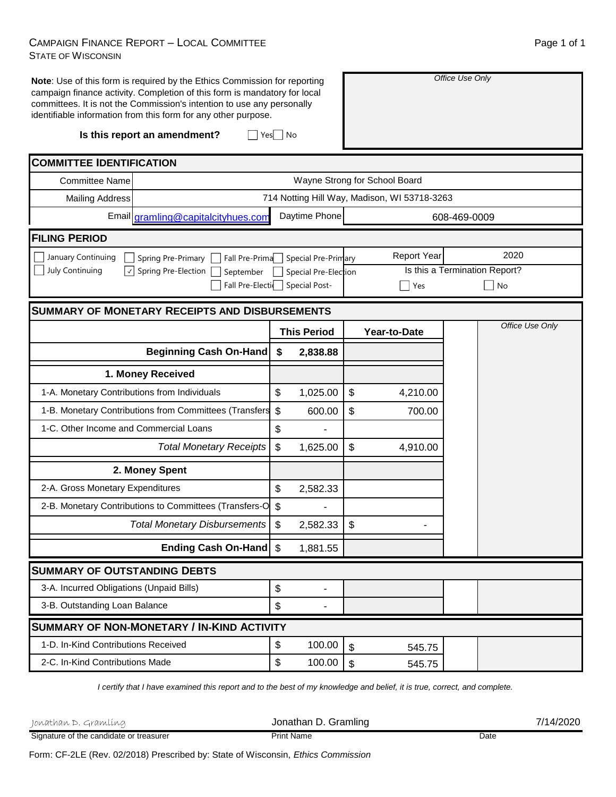## CAMPAIGN FINANCE REPORT – LOCAL COMMITTEE STATE OF WISCONSIN

| Note: Use of this form is required by the Ethics Commission for reporting<br>campaign finance activity. Completion of this form is mandatory for local<br>committees. It is not the Commission's intention to use any personally<br>identifiable information from this form for any other purpose. |                                                        |                           | Office Use Only          |                           |                                              |              |                               |
|----------------------------------------------------------------------------------------------------------------------------------------------------------------------------------------------------------------------------------------------------------------------------------------------------|--------------------------------------------------------|---------------------------|--------------------------|---------------------------|----------------------------------------------|--------------|-------------------------------|
|                                                                                                                                                                                                                                                                                                    | Is this report an amendment?<br>Yes   No               |                           |                          |                           |                                              |              |                               |
| <b>COMMITTEE IDENTIFICATION</b>                                                                                                                                                                                                                                                                    |                                                        |                           |                          |                           |                                              |              |                               |
| <b>Committee Name</b>                                                                                                                                                                                                                                                                              |                                                        |                           |                          |                           | Wayne Strong for School Board                |              |                               |
| <b>Mailing Address</b>                                                                                                                                                                                                                                                                             |                                                        |                           |                          |                           | 714 Notting Hill Way, Madison, WI 53718-3263 |              |                               |
|                                                                                                                                                                                                                                                                                                    | Email gramling@capitalcityhues.com                     |                           | Daytime Phone            |                           |                                              | 608-469-0009 |                               |
| <b>FILING PERIOD</b>                                                                                                                                                                                                                                                                               |                                                        |                           |                          |                           |                                              |              |                               |
| January Continuing                                                                                                                                                                                                                                                                                 | Spring Pre-Primary<br>Fall Pre-Prima                   |                           | Special Pre-Primary      |                           | <b>Report Year</b>                           |              | 2020                          |
| <b>July Continuing</b>                                                                                                                                                                                                                                                                             | Spring Pre-Election<br>September                       |                           | Special Pre-Election     |                           |                                              |              | Is this a Termination Report? |
|                                                                                                                                                                                                                                                                                                    | Fall Pre-Election                                      |                           | <b>Special Post-</b>     |                           | Yes                                          |              | No                            |
|                                                                                                                                                                                                                                                                                                    | <b>SUMMARY OF MONETARY RECEIPTS AND DISBURSEMENTS</b>  |                           |                          |                           |                                              |              |                               |
|                                                                                                                                                                                                                                                                                                    |                                                        |                           | <b>This Period</b>       |                           | Year-to-Date                                 |              | Office Use Only               |
|                                                                                                                                                                                                                                                                                                    | <b>Beginning Cash On-Hand</b>                          | \$                        | 2,838.88                 |                           |                                              |              |                               |
|                                                                                                                                                                                                                                                                                                    | 1. Money Received                                      |                           |                          |                           |                                              |              |                               |
| 1-A. Monetary Contributions from Individuals                                                                                                                                                                                                                                                       |                                                        | \$                        | 1,025.00                 | \$                        | 4,210.00                                     |              |                               |
|                                                                                                                                                                                                                                                                                                    | 1-B. Monetary Contributions from Committees (Transfers | $\boldsymbol{\mathsf{S}}$ | 600.00                   | \$                        | 700.00                                       |              |                               |
| 1-C. Other Income and Commercial Loans                                                                                                                                                                                                                                                             |                                                        | \$                        |                          |                           |                                              |              |                               |
|                                                                                                                                                                                                                                                                                                    | <b>Total Monetary Receipts</b>                         | \$                        | 1,625.00                 | \$                        | 4,910.00                                     |              |                               |
|                                                                                                                                                                                                                                                                                                    | 2. Money Spent                                         |                           |                          |                           |                                              |              |                               |
| 2-A. Gross Monetary Expenditures                                                                                                                                                                                                                                                                   |                                                        | \$                        | 2,582.33                 |                           |                                              |              |                               |
|                                                                                                                                                                                                                                                                                                    | 2-B. Monetary Contributions to Committees (Transfers-O | \$                        |                          |                           |                                              |              |                               |
|                                                                                                                                                                                                                                                                                                    | <b>Total Monetary Disbursements</b>                    | \$                        | 2,582.33                 | $\boldsymbol{\mathsf{S}}$ |                                              |              |                               |
|                                                                                                                                                                                                                                                                                                    | Ending Cash On-Hand   \$                               |                           | 1,881.55                 |                           |                                              |              |                               |
| <b>SUMMARY OF OUTSTANDING DEBTS</b>                                                                                                                                                                                                                                                                |                                                        |                           |                          |                           |                                              |              |                               |
| 3-A. Incurred Obligations (Unpaid Bills)                                                                                                                                                                                                                                                           |                                                        | \$                        | $\overline{\phantom{a}}$ |                           |                                              |              |                               |
| 3-B. Outstanding Loan Balance                                                                                                                                                                                                                                                                      |                                                        | \$                        |                          |                           |                                              |              |                               |
|                                                                                                                                                                                                                                                                                                    | SUMMARY OF NON-MONETARY / IN-KIND ACTIVITY             |                           |                          |                           |                                              |              |                               |
| 1-D. In-Kind Contributions Received                                                                                                                                                                                                                                                                |                                                        | \$                        | 100.00                   | \$                        | 545.75                                       |              |                               |
| 2-C. In-Kind Contributions Made                                                                                                                                                                                                                                                                    |                                                        | \$                        | 100.00                   | $\boldsymbol{\mathsf{S}}$ | 545.75                                       |              |                               |

*I certify that I have examined this report and to the best of my knowledge and belief, it is true, correct, and complete.*

| Ionathan D. Gramlíng                    | Jonathan D. Gramling | 7/14/2020 |
|-----------------------------------------|----------------------|-----------|
| Signature of the candidate or treasurer | <b>Print Name</b>    | Date      |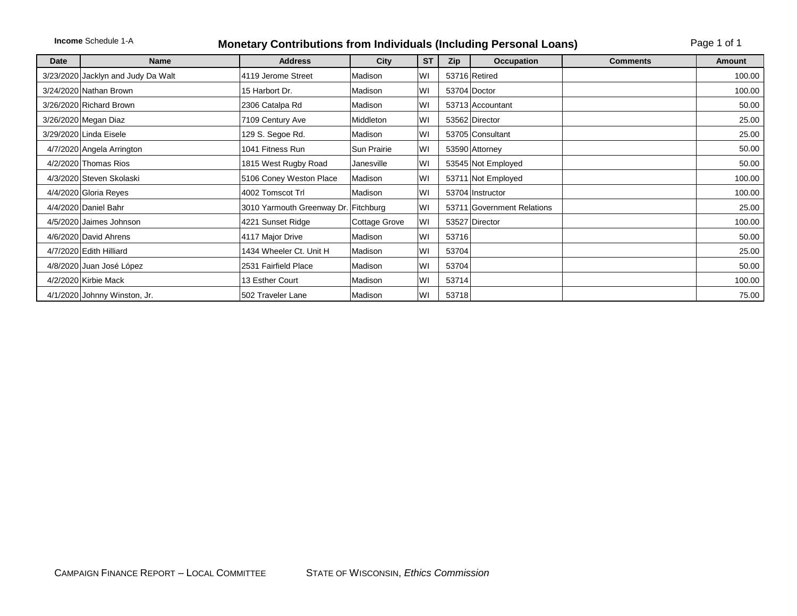|      | <b>Income Schedule 1-A</b><br><b>Monetary Contributions from Individuals (Including Personal Loans)</b> |                                      |                      |           |       |                            |                 | Page 1 of 1   |  |  |
|------|---------------------------------------------------------------------------------------------------------|--------------------------------------|----------------------|-----------|-------|----------------------------|-----------------|---------------|--|--|
| Date | <b>Name</b>                                                                                             | <b>Address</b>                       | City                 | <b>ST</b> | Zip   | Occupation                 | <b>Comments</b> | <b>Amount</b> |  |  |
|      | 3/23/2020 Jacklyn and Judy Da Walt                                                                      | 4119 Jerome Street                   | Madison              | WI        |       | 53716 Retired              |                 | 100.00        |  |  |
|      | 3/24/2020 Nathan Brown                                                                                  | 15 Harbort Dr.                       | Madison              | WI        |       | 53704 Doctor               |                 | 100.00        |  |  |
|      | 3/26/2020 Richard Brown                                                                                 | 2306 Catalpa Rd                      | Madison              | WI        |       | 53713 Accountant           |                 | 50.00         |  |  |
|      | 3/26/2020 Megan Diaz                                                                                    | 7109 Century Ave                     | Middleton            | WI        |       | 53562 Director             |                 | 25.00         |  |  |
|      | 3/29/2020 Linda Eisele                                                                                  | 129 S. Segoe Rd.                     | Madison              | WI        |       | 53705 Consultant           |                 | 25.00         |  |  |
|      | 4/7/2020 Angela Arrington                                                                               | 1041 Fitness Run                     | Sun Prairie          | lwı       |       | 53590 Attorney             |                 | 50.00         |  |  |
|      | 4/2/2020 Thomas Rios                                                                                    | 1815 West Rugby Road                 | Janesville           | lwı       |       | 53545 Not Employed         |                 | 50.00         |  |  |
|      | 4/3/2020 Steven Skolaski                                                                                | 5106 Coney Weston Place              | Madison              | WI        |       | 53711 Not Employed         |                 | 100.00        |  |  |
|      | 4/4/2020 Gloria Reyes                                                                                   | 4002 Tomscot Trl                     | Madison              | lwı       |       | 53704 Instructor           |                 | 100.00        |  |  |
|      | 4/4/2020 Daniel Bahr                                                                                    | 3010 Yarmouth Greenway Dr. Fitchburg |                      | lwı       |       | 53711 Government Relations |                 | 25.00         |  |  |
|      | 4/5/2020 Jaimes Johnson                                                                                 | 4221 Sunset Ridge                    | <b>Cottage Grove</b> | WI        |       | 53527 Director             |                 | 100.00        |  |  |
|      | 4/6/2020 David Ahrens                                                                                   | 4117 Major Drive                     | Madison              | WI        | 53716 |                            |                 | 50.00         |  |  |
|      | 4/7/2020 Edith Hilliard                                                                                 | 1434 Wheeler Ct. Unit H              | Madison              | WI        | 53704 |                            |                 | 25.00         |  |  |
|      | 4/8/2020 Juan José López                                                                                | 2531 Fairfield Place                 | Madison              | WI        | 53704 |                            |                 | 50.00         |  |  |
|      | 4/2/2020 Kirbie Mack                                                                                    | 13 Esther Court                      | l Madison            | WI        | 53714 |                            |                 | 100.00        |  |  |
|      | 4/1/2020 Johnny Winston, Jr.                                                                            | 502 Traveler Lane                    | Madison              | lwi       | 53718 |                            |                 | 75.00         |  |  |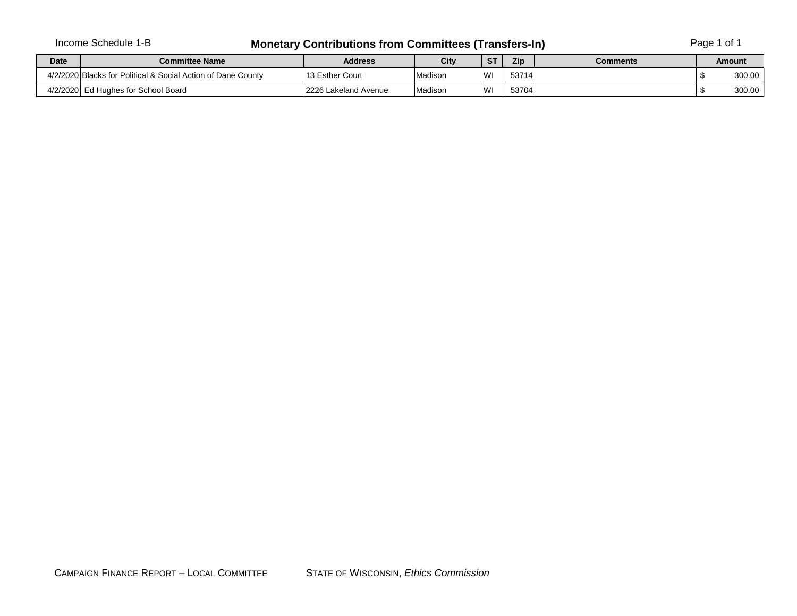## Income Schedule 1-B **Monetary Contributions from Committees (Transfers-In)** Page 1 of 1

| <b>Date</b> | <b>Committee Name</b>                                        | <b>Address</b>            | City    | <b>ST</b> | Zip   | Comments | Amount |
|-------------|--------------------------------------------------------------|---------------------------|---------|-----------|-------|----------|--------|
|             | 4/2/2020 Blacks for Political & Social Action of Dane County | 13 Esther Court           | Madisor | WI        | 53714 |          | 300.00 |
| 4/2/2020    | Ed Hughes for School Board                                   | 2226<br>i Lakeland Avenue | Madisor | WI        | 53704 |          | 300.00 |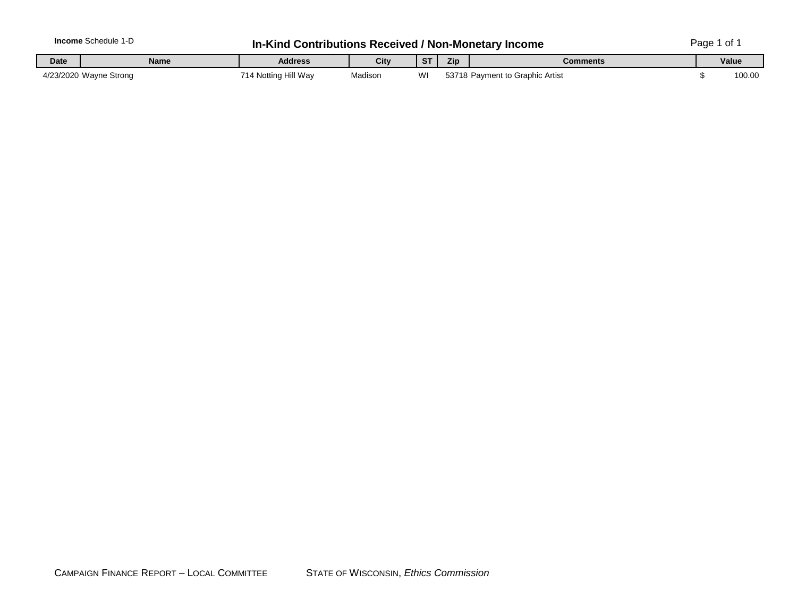| ncome       | ∵hedule<br>$\sim$<br>. . | .contributionsث<br>Kind | .; Received |    |     | ∣ / Non-Monetarv Income | مەمە<br>~<br>auc<br>ັບ |
|-------------|--------------------------|-------------------------|-------------|----|-----|-------------------------|------------------------|
| <b>Date</b> | Name                     | <b>Address</b>          | City        | o. | Zip | Comments                | Value                  |

| <b>Date</b> | <b>Name</b>            | <b>Address</b>         | City    | $\sim$ $\sim$<br>o i | <b>Zip</b> | Comments                  | Value  |
|-------------|------------------------|------------------------|---------|----------------------|------------|---------------------------|--------|
|             | 4/23/2020 Wayne Strong | Notting Hill Wav<br>۰. | Madison | WI                   |            | Payment to Graphic Artist | 100.00 |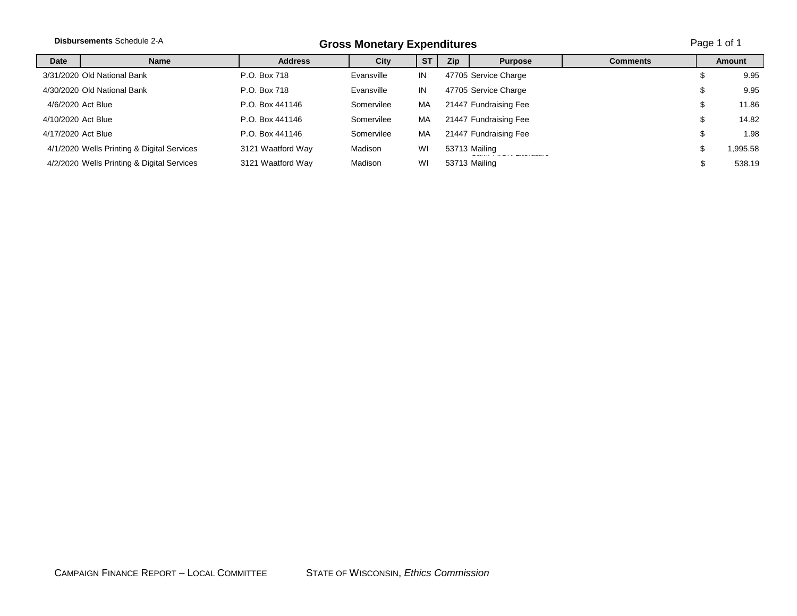|                    | <b>Disbursements Schedule 2-A</b>          |                   | <b>Gross Monetary Expenditures</b> |           |     |                       |                 |    | Page 1 of 1   |  |  |
|--------------------|--------------------------------------------|-------------------|------------------------------------|-----------|-----|-----------------------|-----------------|----|---------------|--|--|
| Date               | <b>Name</b>                                | <b>Address</b>    | City                               | <b>ST</b> | Zip | <b>Purpose</b>        | <b>Comments</b> |    | <b>Amount</b> |  |  |
|                    | 3/31/2020 Old National Bank                | P.O. Box 718      | Evansville                         | IN        |     | 47705 Service Charge  |                 |    | 9.95          |  |  |
|                    | 4/30/2020 Old National Bank                | P.O. Box 718      | Evansville                         | IN        |     | 47705 Service Charge  |                 |    | 9.95          |  |  |
| 4/6/2020 Act Blue  |                                            | P.O. Box 441146   | Somervilee                         | MA        |     | 21447 Fundraising Fee |                 | \$ | 11.86         |  |  |
| 4/10/2020 Act Blue |                                            | P.O. Box 441146   | Somervilee                         | MA        |     | 21447 Fundraising Fee |                 | S  | 14.82         |  |  |
| 4/17/2020 Act Blue |                                            | P.O. Box 441146   | Somervilee                         | MA        |     | 21447 Fundraising Fee |                 | Φ  | 1.98          |  |  |
|                    | 4/1/2020 Wells Printing & Digital Services | 3121 Waatford Way | Madison                            | WI        |     | 53713 Mailing         |                 | J  | 1,995.58      |  |  |
|                    | 4/2/2020 Wells Printing & Digital Services | 3121 Waatford Way | Madison                            | WI        |     | 53713 Mailing         |                 |    | 538.19        |  |  |